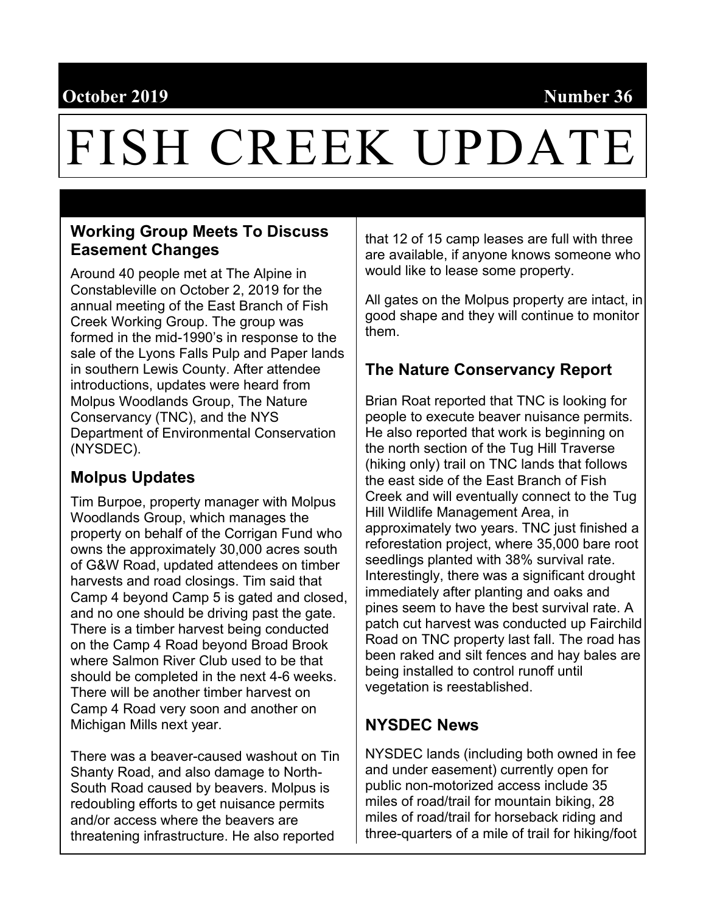# **October 2019** Number 36

# FISH CREEK UPDATE

## **Working Group Meets To Discuss Easement Changes**

Around 40 people met at The Alpine in Constableville on October 2, 2019 for the annual meeting of the East Branch of Fish Creek Working Group. The group was formed in the mid-1990's in response to the sale of the Lyons Falls Pulp and Paper lands in southern Lewis County. After attendee introductions, updates were heard from Molpus Woodlands Group, The Nature Conservancy (TNC), and the NYS Department of Environmental Conservation (NYSDEC).

# **Molpus Updates**

Tim Burpoe, property manager with Molpus Woodlands Group, which manages the property on behalf of the Corrigan Fund who owns the approximately 30,000 acres south of G&W Road, updated attendees on timber harvests and road closings. Tim said that Camp 4 beyond Camp 5 is gated and closed, and no one should be driving past the gate. There is a timber harvest being conducted on the Camp 4 Road beyond Broad Brook where Salmon River Club used to be that should be completed in the next 4-6 weeks. There will be another timber harvest on Camp 4 Road very soon and another on Michigan Mills next year.

There was a beaver-caused washout on Tin Shanty Road, and also damage to North-South Road caused by beavers. Molpus is redoubling efforts to get nuisance permits and/or access where the beavers are threatening infrastructure. He also reported

that 12 of 15 camp leases are full with three are available, if anyone knows someone who would like to lease some property.

All gates on the Molpus property are intact, in good shape and they will continue to monitor them.

# **The Nature Conservancy Report**

Brian Roat reported that TNC is looking for people to execute beaver nuisance permits. He also reported that work is beginning on the north section of the Tug Hill Traverse (hiking only) trail on TNC lands that follows the east side of the East Branch of Fish Creek and will eventually connect to the Tug Hill Wildlife Management Area, in approximately two years. TNC just finished a reforestation project, where 35,000 bare root seedlings planted with 38% survival rate. Interestingly, there was a significant drought immediately after planting and oaks and pines seem to have the best survival rate. A patch cut harvest was conducted up Fairchild Road on TNC property last fall. The road has been raked and silt fences and hay bales are being installed to control runoff until vegetation is reestablished.

# **NYSDEC News**

NYSDEC lands (including both owned in fee and under easement) currently open for public non-motorized access include 35 miles of road/trail for mountain biking, 28 miles of road/trail for horseback riding and three-quarters of a mile of trail for hiking/foot